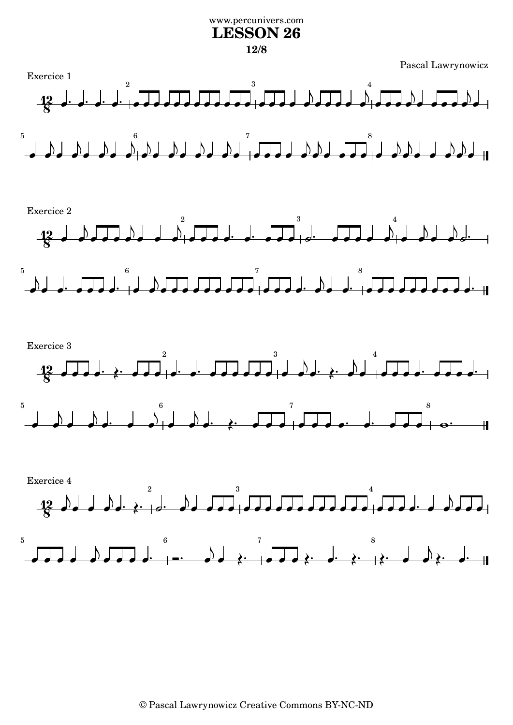## www.percunivers.com **LESSON 26 12/8**

Pascal Lawrynowicz

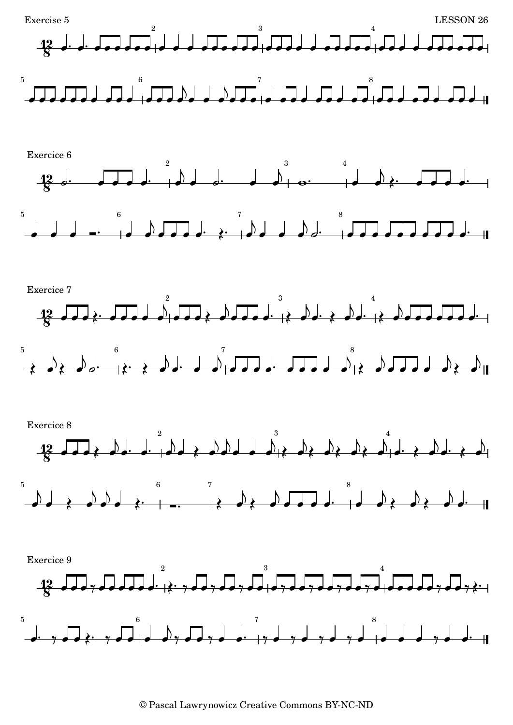

<sup>©</sup> Pascal Lawrynowicz Creative Commons BY-NC-ND